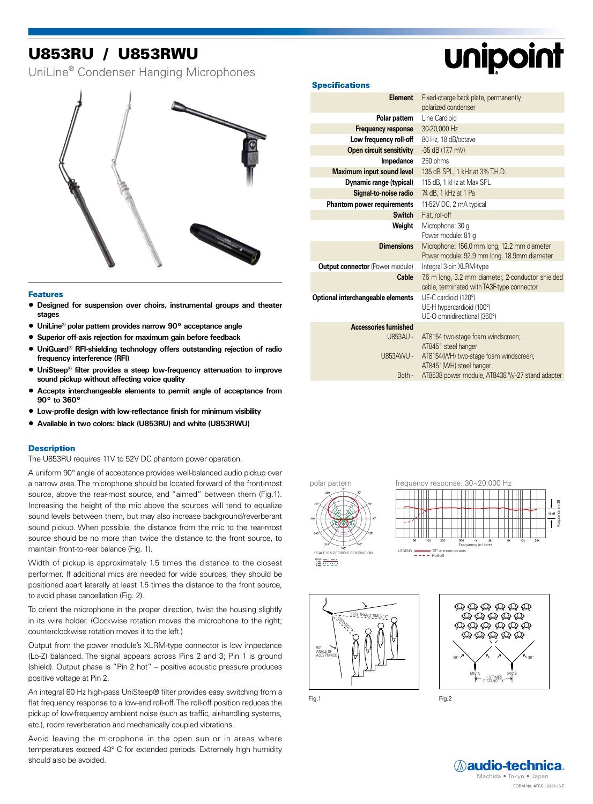## U853RU / U853RWU

UniLine® Condenser Hanging Microphones



#### Features

- **• Designed for suspension over choirs, instrumental groups and theater stages**
- **• UniLine® polar pattern provides narrow 90° acceptance angle**
- **• Superior off-axis rejection for maximum gain before feedback**
- **• UniGuard® RFI-shielding technology offers outstanding rejection of radio frequency interference (RFI)**
- **• UniSteep® filter provides a steep low-frequency attenuation to improve sound pickup without affecting voice quality**
- **• Accepts interchangeable elements to permit angle of acceptance from 90° to 360°**
- **• Low-profile design with low-reflectance finish for minimum visibility**
- **• Available in two colors: black (U853RU) and white (U853RWU)**

#### **Description**

The U853RU requires 11V to 52V DC phantom power operation.

A uniform 90° angle of acceptance provides well-balanced audio pickup over a narrow area. The microphone should be located forward of the front-most source, above the rear-most source, and "aimed" between them (Fig.1). Increasing the height of the mic above the sources will tend to equalize sound levels between them, but may also increase background/reverberant sound pickup. When possible, the distance from the mic to the rear-most source should be no more than twice the distance to the front source, to maintain front-to-rear balance (Fig. 1).

Width of pickup is approximately 1.5 times the distance to the closest performer. If additional mics are needed for wide sources, they should be positioned apart laterally at least 1.5 times the distance to the front source, to avoid phase cancellation (Fig. 2).

To orient the microphone in the proper direction, twist the housing slightly in its wire holder. (Clockwise rotation moves the microphone to the right; counterclockwise rotation moves it to the left.)

Output from the power module's XLRM-type connector is low impedance (Lo-Z) balanced. The signal appears across Pins 2 and 3; Pin 1 is ground (shield). Output phase is "Pin 2 hot" – positive acoustic pressure produces positive voltage at Pin 2.

An integral 80 Hz high-pass UniSteep® filter provides easy switching from a flat frequency response to a low-end roll-off. The roll-off position reduces the pickup of low-frequency ambient noise (such as traffic, air-handling systems, etc.), room reverberation and mechanically coupled vibrations.

Avoid leaving the microphone in the open sun or in areas where temperatures exceed 43° C for extended periods. Extremely high humidity should also be avoided.

# unipoint

#### **Specifications**

| <b>Element</b>                                                         | Fixed-charge back plate, permanently<br>polarized condenser                                                                                                                       |
|------------------------------------------------------------------------|-----------------------------------------------------------------------------------------------------------------------------------------------------------------------------------|
| Polar pattern                                                          | Line Cardioid                                                                                                                                                                     |
| <b>Frequency response</b>                                              | 30-20,000 Hz                                                                                                                                                                      |
| Low frequency roll-off                                                 | 80 Hz. 18 dB/octave                                                                                                                                                               |
| Open circuit sensitivity                                               | -35 dB (17.7 mV)                                                                                                                                                                  |
| Impedance                                                              | $250$ ohms                                                                                                                                                                        |
| Maximum input sound level                                              | 135 dB SPL, 1 kHz at 3% T.H.D.                                                                                                                                                    |
| Dynamic range (typical)                                                | 115 dB, 1 kHz at Max SPL                                                                                                                                                          |
| Signal-to-noise radio                                                  | 74 dB. 1 kHz at 1 Pa                                                                                                                                                              |
| Phantom power requirements                                             | 11-52V DC, 2 mA typical                                                                                                                                                           |
| Switch                                                                 | Flat. roll-off                                                                                                                                                                    |
| Weight                                                                 | Microphone: 30 g<br>Power module: 81 q                                                                                                                                            |
| <b>Dimensions</b>                                                      | Microphone: 156.0 mm long, 12.2 mm diameter<br>Power module: 92.9 mm long, 18.9mm diameter                                                                                        |
| <b>Output connector</b> (Power module)                                 | Integral 3-pin XLRM-type                                                                                                                                                          |
| <b>Cable</b>                                                           | 7.6 m long, 3.2 mm diameter, 2-conductor shielded<br>cable, terminated with TA3F-type connector                                                                                   |
| Optional interchangeable elements                                      | UE-C cardioid (120°)<br>UE-H hypercardioid (100°)<br>UE-O omnidirectional (360°)                                                                                                  |
| <b>Accessories furnished</b><br><b>U853AU -</b><br>U853AWU -<br>Both - | AT8154 two-stage foam windscreen;<br>AT8451 steel hanger<br>AT8154(WH) two-stage foam windscreen;<br>AT8451(WH) steel hanger<br>AT8538 power module, AT8438 5/8"-27 stand adapter |
|                                                                        |                                                                                                                                                                                   |







LEGEND SCALE IS 5 DECIBELS PER DIVISION<br> $-$  Roll-off





Fig.1 Fig.2